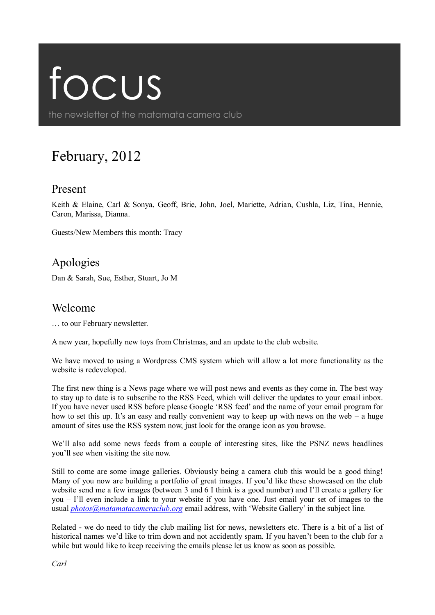# focus

the newsletter of the matamata camera club

# February, 2012

#### Present

Keith & Elaine, Carl & Sonya, Geoff, Brie, John, Joel, Mariette, Adrian, Cushla, Liz, Tina, Hennie, Caron, Marissa, Dianna.

Guests/New Members this month: Tracy

# Apologies

Dan & Sarah, Sue, Esther, Stuart, Jo M

#### Welcome

… to our February newsletter.

A new year, hopefully new toys from Christmas, and an update to the club website.

We have moved to using a Wordpress CMS system which will allow a lot more functionality as the website is redeveloped.

The first new thing is a News page where we will post news and events as they come in. The best way to stay up to date is to subscribe to the RSS Feed, which will deliver the updates to your email inbox. If you have never used RSS before please Google 'RSS feed' and the name of your email program for how to set this up. It's an easy and really convenient way to keep up with news on the web – a huge amount of sites use the RSS system now, just look for the orange icon as you browse.

We'll also add some news feeds from a couple of interesting sites, like the PSNZ news headlines you'll see when visiting the site now.

Still to come are some image galleries. Obviously being a camera club this would be a good thing! Many of you now are building a portfolio of great images. If you'd like these showcased on the club website send me a few images (between 3 and 6 I think is a good number) and I'll create a gallery for you – I'll even include a link to your website if you have one. Just email your set of images to the usual *[photos@matamatacameraclub.org](mailto:photos@matamatacameraclub.org)* email address, with 'Website Gallery' in the subject line.

Related - we do need to tidy the club mailing list for news, newsletters etc. There is a bit of a list of historical names we'd like to trim down and not accidently spam. If you haven't been to the club for a while but would like to keep receiving the emails please let us know as soon as possible.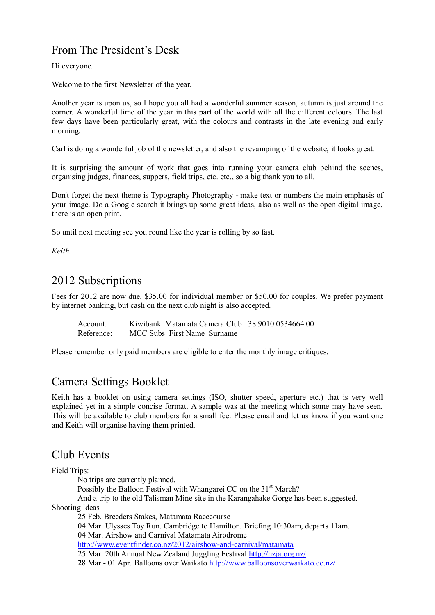## From The President's Desk

Hi everyone.

Welcome to the first Newsletter of the year.

Another year is upon us, so I hope you all had a wonderful summer season, autumn is just around the corner. A wonderful time of the year in this part of the world with all the different colours. The last few days have been particularly great, with the colours and contrasts in the late evening and early morning.

Carl is doing a wonderful job of the newsletter, and also the revamping of the website, it looks great.

It is surprising the amount of work that goes into running your camera club behind the scenes, organising judges, finances, suppers, field trips, etc. etc., so a big thank you to all.

Don't forget the next theme is Typography Photography - make text or numbers the main emphasis of your image. Do a Google search it brings up some great ideas, also as well as the open digital image, there is an open print.

So until next meeting see you round like the year is rolling by so fast.

*Keith.*

## 2012 Subscriptions

Fees for 2012 are now due. \$35.00 for individual member or \$50.00 for couples. We prefer payment by internet banking, but cash on the next club night is also accepted.

Account: Kiwibank Matamata Camera Club 38 9010 0534664 00 Reference: MCC Subs First Name Surname

Please remember only paid members are eligible to enter the monthly image critiques.

#### Camera Settings Booklet

Keith has a booklet on using camera settings (ISO, shutter speed, aperture etc.) that is very well explained yet in a simple concise format. A sample was at the meeting which some may have seen. This will be available to club members for a small fee. Please email and let us know if you want one and Keith will organise having them printed.

#### Club Events

Field Trips:

No trips are currently planned.

Possibly the Balloon Festival with Whangarei CC on the 31<sup>st</sup> March?

And a trip to the old Talisman Mine site in the Karangahake Gorge has been suggested. Shooting Ideas

25 Feb. Breeders Stakes, Matamata Racecourse

04 Mar. Ulysses Toy Run. Cambridge to Hamilton. Briefing 10:30am, departs 11am. 04 Mar. Airshow and Carnival Matamata Airodrome

<http://www.eventfinder.co.nz/2012/airshow-and-carnival/matamata>

25 Mar. 20th Annual New Zealand Juggling Festival <http://nzja.org.nz/>

**2**8 Mar - 01 Apr. Balloons over Waikato <http://www.balloonsoverwaikato.co.nz/>